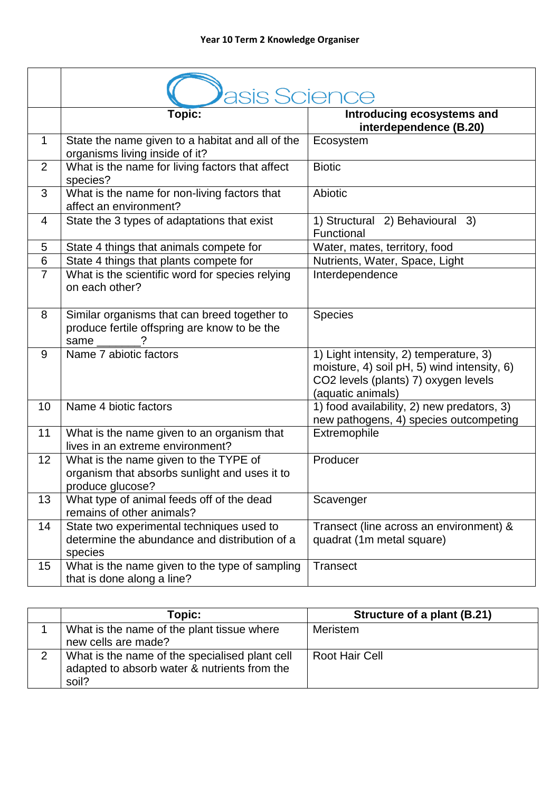|                | asis Science                                                                                                    |                                                                                                                                                    |
|----------------|-----------------------------------------------------------------------------------------------------------------|----------------------------------------------------------------------------------------------------------------------------------------------------|
|                | <b>Topic:</b>                                                                                                   | Introducing ecosystems and<br>interdependence (B.20)                                                                                               |
| $\mathbf{1}$   | State the name given to a habitat and all of the<br>organisms living inside of it?                              | Ecosystem                                                                                                                                          |
| $\overline{2}$ | What is the name for living factors that affect<br>species?                                                     | <b>Biotic</b>                                                                                                                                      |
| 3              | What is the name for non-living factors that<br>affect an environment?                                          | Abiotic                                                                                                                                            |
| 4              | State the 3 types of adaptations that exist                                                                     | 1) Structural 2) Behavioural 3)<br>Functional                                                                                                      |
| 5              | State 4 things that animals compete for                                                                         | Water, mates, territory, food                                                                                                                      |
| 6              | State 4 things that plants compete for                                                                          | Nutrients, Water, Space, Light                                                                                                                     |
| $\overline{7}$ | What is the scientific word for species relying<br>on each other?                                               | Interdependence                                                                                                                                    |
| 8              | Similar organisms that can breed together to<br>produce fertile offspring are know to be the<br>same $\qquad$ ? | <b>Species</b>                                                                                                                                     |
| 9              | Name 7 abiotic factors                                                                                          | 1) Light intensity, 2) temperature, 3)<br>moisture, 4) soil pH, 5) wind intensity, 6)<br>CO2 levels (plants) 7) oxygen levels<br>(aquatic animals) |
| 10             | Name 4 biotic factors                                                                                           | 1) food availability, 2) new predators, 3)<br>new pathogens, 4) species outcompeting                                                               |
| 11             | What is the name given to an organism that<br>lives in an extreme environment?                                  | Extremophile                                                                                                                                       |
| 12             | What is the name given to the TYPE of<br>organism that absorbs sunlight and uses it to<br>produce glucose?      | Producer                                                                                                                                           |
| 13             | What type of animal feeds off of the dead<br>remains of other animals?                                          | Scavenger                                                                                                                                          |
| 14             | State two experimental techniques used to<br>determine the abundance and distribution of a<br>species           | Transect (line across an environment) &<br>quadrat (1m metal square)                                                                               |
| 15             | What is the name given to the type of sampling<br>that is done along a line?                                    | <b>Transect</b>                                                                                                                                    |

| Topic:                                                                                                  | Structure of a plant (B.21) |
|---------------------------------------------------------------------------------------------------------|-----------------------------|
| What is the name of the plant tissue where<br>new cells are made?                                       | Meristem                    |
| What is the name of the specialised plant cell<br>adapted to absorb water & nutrients from the<br>soil? | Root Hair Cell              |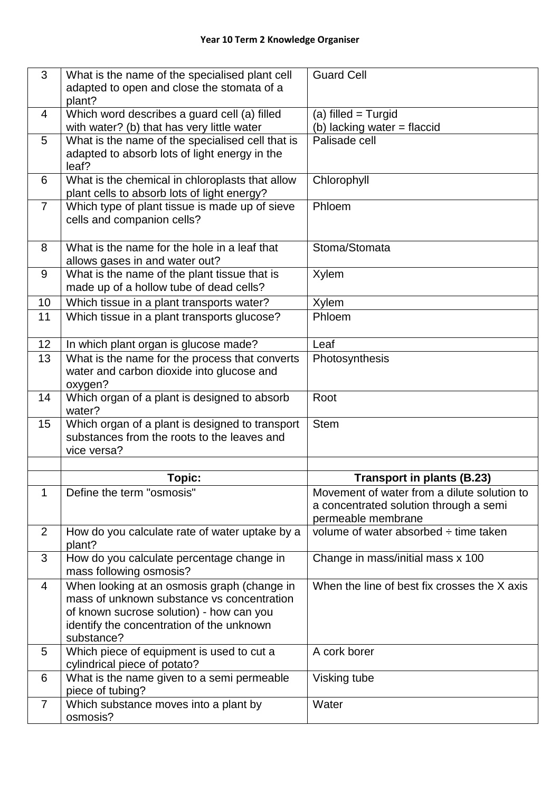| 3              | What is the name of the specialised plant cell                                                 | <b>Guard Cell</b>                                            |
|----------------|------------------------------------------------------------------------------------------------|--------------------------------------------------------------|
|                | adapted to open and close the stomata of a                                                     |                                                              |
| 4              | plant?<br>Which word describes a guard cell (a) filled                                         | (a) filled $=$ Turgid                                        |
|                | with water? (b) that has very little water                                                     | (b) lacking water = flaccid                                  |
| 5              | What is the name of the specialised cell that is                                               | Palisade cell                                                |
|                | adapted to absorb lots of light energy in the                                                  |                                                              |
|                | leaf?                                                                                          |                                                              |
| 6              | What is the chemical in chloroplasts that allow<br>plant cells to absorb lots of light energy? | Chlorophyll                                                  |
| $\overline{7}$ | Which type of plant tissue is made up of sieve                                                 | Phloem                                                       |
|                | cells and companion cells?                                                                     |                                                              |
|                |                                                                                                |                                                              |
| 8              | What is the name for the hole in a leaf that                                                   | Stoma/Stomata                                                |
|                | allows gases in and water out?                                                                 |                                                              |
| 9              | What is the name of the plant tissue that is                                                   | <b>Xylem</b>                                                 |
|                | made up of a hollow tube of dead cells?                                                        |                                                              |
| 10<br>11       | Which tissue in a plant transports water?<br>Which tissue in a plant transports glucose?       | <b>Xylem</b><br>Phloem                                       |
|                |                                                                                                |                                                              |
| 12             | In which plant organ is glucose made?                                                          | Leaf                                                         |
| 13             | What is the name for the process that converts                                                 | Photosynthesis                                               |
|                | water and carbon dioxide into glucose and                                                      |                                                              |
|                | oxygen?                                                                                        |                                                              |
| 14             | Which organ of a plant is designed to absorb<br>water?                                         | Root                                                         |
| 15             | Which organ of a plant is designed to transport                                                | <b>Stem</b>                                                  |
|                | substances from the roots to the leaves and                                                    |                                                              |
|                | vice versa?                                                                                    |                                                              |
|                |                                                                                                |                                                              |
|                | Topic:                                                                                         | <b>Transport in plants (B.23)</b>                            |
| 1              | Define the term "osmosis"                                                                      | Movement of water from a dilute solution to                  |
|                |                                                                                                | a concentrated solution through a semi<br>permeable membrane |
| $\overline{2}$ | How do you calculate rate of water uptake by a                                                 | volume of water absorbed $\div$ time taken                   |
|                | plant?                                                                                         |                                                              |
| 3              | How do you calculate percentage change in                                                      | Change in mass/initial mass x 100                            |
|                | mass following osmosis?                                                                        |                                                              |
| 4              | When looking at an osmosis graph (change in                                                    | When the line of best fix crosses the X axis                 |
|                | mass of unknown substance vs concentration                                                     |                                                              |
|                | of known sucrose solution) - how can you<br>identify the concentration of the unknown          |                                                              |
|                | substance?                                                                                     |                                                              |
| 5              | Which piece of equipment is used to cut a                                                      | A cork borer                                                 |
|                | cylindrical piece of potato?                                                                   |                                                              |
| 6              | What is the name given to a semi permeable                                                     | Visking tube                                                 |
| $\overline{7}$ | piece of tubing?                                                                               | Water                                                        |
|                | Which substance moves into a plant by<br>osmosis?                                              |                                                              |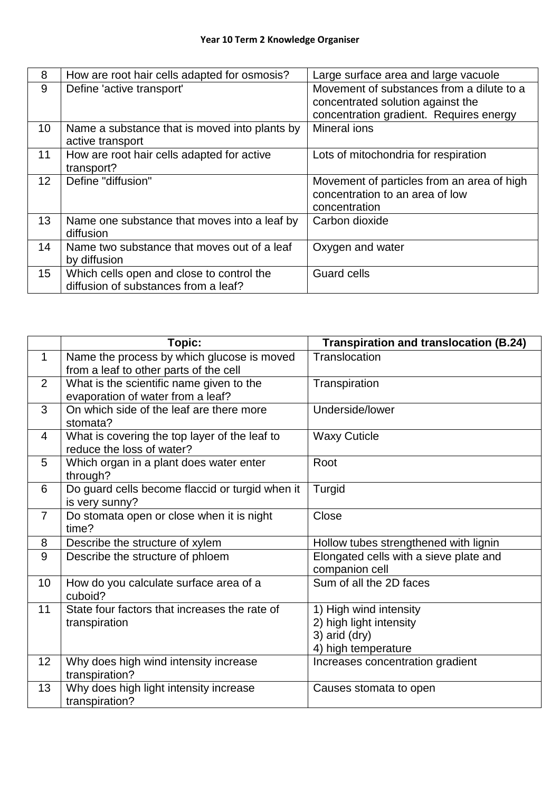| 8                | How are root hair cells adapted for osmosis?                                      | Large surface area and large vacuole                                                                                      |
|------------------|-----------------------------------------------------------------------------------|---------------------------------------------------------------------------------------------------------------------------|
| 9                | Define 'active transport'                                                         | Movement of substances from a dilute to a<br>concentrated solution against the<br>concentration gradient. Requires energy |
| 10               | Name a substance that is moved into plants by<br>active transport                 | Mineral ions                                                                                                              |
| 11               | How are root hair cells adapted for active<br>transport?                          | Lots of mitochondria for respiration                                                                                      |
| 12 <sup>2</sup>  | Define "diffusion"                                                                | Movement of particles from an area of high<br>concentration to an area of low<br>concentration                            |
| 13               | Name one substance that moves into a leaf by<br>diffusion                         | Carbon dioxide                                                                                                            |
| 14               | Name two substance that moves out of a leaf<br>by diffusion                       | Oxygen and water                                                                                                          |
| 15 <sup>15</sup> | Which cells open and close to control the<br>diffusion of substances from a leaf? | <b>Guard cells</b>                                                                                                        |

|                | <b>Topic:</b>                                                                        | <b>Transpiration and translocation (B.24)</b>                                             |
|----------------|--------------------------------------------------------------------------------------|-------------------------------------------------------------------------------------------|
| $\mathbf{1}$   | Name the process by which glucose is moved<br>from a leaf to other parts of the cell | Translocation                                                                             |
| $\overline{2}$ | What is the scientific name given to the<br>evaporation of water from a leaf?        | Transpiration                                                                             |
| 3              | On which side of the leaf are there more<br>stomata?                                 | Underside/lower                                                                           |
| 4              | What is covering the top layer of the leaf to<br>reduce the loss of water?           | <b>Waxy Cuticle</b>                                                                       |
| 5              | Which organ in a plant does water enter<br>through?                                  | Root                                                                                      |
| 6              | Do guard cells become flaccid or turgid when it<br>is very sunny?                    | Turgid                                                                                    |
| $\overline{7}$ | Do stomata open or close when it is night<br>time?                                   | Close                                                                                     |
| 8              | Describe the structure of xylem                                                      | Hollow tubes strengthened with lignin                                                     |
| 9              | Describe the structure of phloem                                                     | Elongated cells with a sieve plate and<br>companion cell                                  |
| 10             | How do you calculate surface area of a<br>cuboid?                                    | Sum of all the 2D faces                                                                   |
| 11             | State four factors that increases the rate of<br>transpiration                       | 1) High wind intensity<br>2) high light intensity<br>3) arid (dry)<br>4) high temperature |
| 12             | Why does high wind intensity increase<br>transpiration?                              | Increases concentration gradient                                                          |
| 13             | Why does high light intensity increase<br>transpiration?                             | Causes stomata to open                                                                    |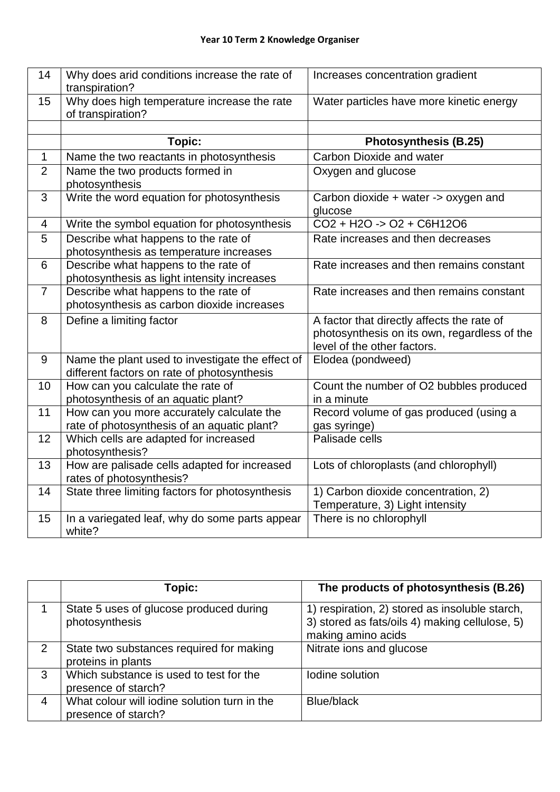| 14                       | Why does arid conditions increase the rate of<br>transpiration?                                 | Increases concentration gradient                                                                                          |
|--------------------------|-------------------------------------------------------------------------------------------------|---------------------------------------------------------------------------------------------------------------------------|
| 15                       | Why does high temperature increase the rate<br>of transpiration?                                | Water particles have more kinetic energy                                                                                  |
|                          |                                                                                                 |                                                                                                                           |
|                          | <b>Topic:</b>                                                                                   | <b>Photosynthesis (B.25)</b>                                                                                              |
| 1                        | Name the two reactants in photosynthesis                                                        | Carbon Dioxide and water                                                                                                  |
| 2                        | Name the two products formed in<br>photosynthesis                                               | Oxygen and glucose                                                                                                        |
| 3                        | Write the word equation for photosynthesis                                                      | Carbon dioxide + water -> oxygen and<br>glucose                                                                           |
| $\overline{\mathcal{A}}$ | Write the symbol equation for photosynthesis                                                    | $CO2 + H2O \rightarrow O2 + C6H12O6$                                                                                      |
| 5                        | Describe what happens to the rate of<br>photosynthesis as temperature increases                 | Rate increases and then decreases                                                                                         |
| 6                        | Describe what happens to the rate of<br>photosynthesis as light intensity increases             | Rate increases and then remains constant                                                                                  |
| $\overline{7}$           | Describe what happens to the rate of<br>photosynthesis as carbon dioxide increases              | Rate increases and then remains constant                                                                                  |
| 8                        | Define a limiting factor                                                                        | A factor that directly affects the rate of<br>photosynthesis on its own, regardless of the<br>level of the other factors. |
| 9                        | Name the plant used to investigate the effect of<br>different factors on rate of photosynthesis | Elodea (pondweed)                                                                                                         |
| 10                       | How can you calculate the rate of<br>photosynthesis of an aquatic plant?                        | Count the number of O2 bubbles produced<br>in a minute                                                                    |
| 11                       | How can you more accurately calculate the<br>rate of photosynthesis of an aquatic plant?        | Record volume of gas produced (using a<br>gas syringe)                                                                    |
| 12                       | Which cells are adapted for increased<br>photosynthesis?                                        | Palisade cells                                                                                                            |
| 13                       | How are palisade cells adapted for increased<br>rates of photosynthesis?                        | Lots of chloroplasts (and chlorophyll)                                                                                    |
| 14                       | State three limiting factors for photosynthesis                                                 | 1) Carbon dioxide concentration, 2)<br>Temperature, 3) Light intensity                                                    |
| 15                       | In a variegated leaf, why do some parts appear<br>white?                                        | There is no chlorophyll                                                                                                   |

|                | Topic:                                                              | The products of photosynthesis (B.26)                                                                                  |
|----------------|---------------------------------------------------------------------|------------------------------------------------------------------------------------------------------------------------|
|                | State 5 uses of glucose produced during<br>photosynthesis           | 1) respiration, 2) stored as insoluble starch,<br>3) stored as fats/oils 4) making cellulose, 5)<br>making amino acids |
| 2              | State two substances required for making<br>proteins in plants      | Nitrate ions and glucose                                                                                               |
| 3              | Which substance is used to test for the<br>presence of starch?      | Iodine solution                                                                                                        |
| $\overline{4}$ | What colour will iodine solution turn in the<br>presence of starch? | Blue/black                                                                                                             |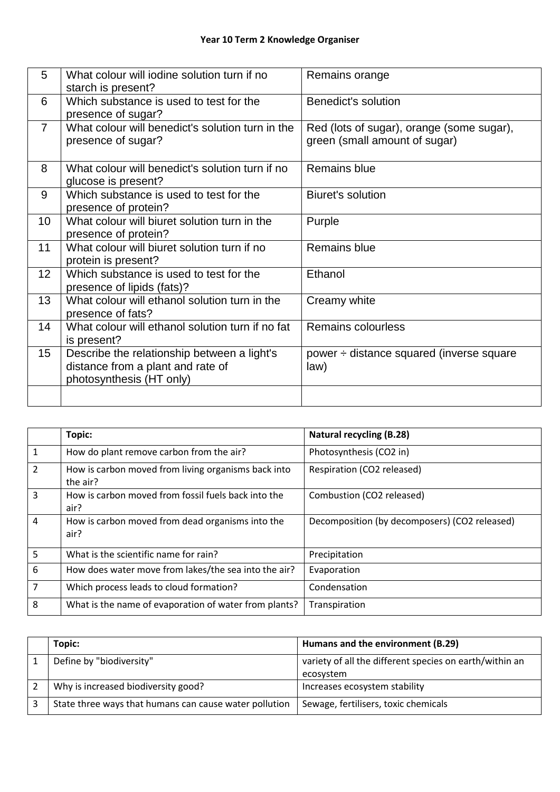| 5                | What colour will jodine solution turn if no<br>starch is present?                                            | Remains orange                                                             |
|------------------|--------------------------------------------------------------------------------------------------------------|----------------------------------------------------------------------------|
| 6                | Which substance is used to test for the<br>presence of sugar?                                                | Benedict's solution                                                        |
| $\overline{7}$   | What colour will benedict's solution turn in the<br>presence of sugar?                                       | Red (lots of sugar), orange (some sugar),<br>green (small amount of sugar) |
| 8                | What colour will benedict's solution turn if no<br>glucose is present?                                       | <b>Remains blue</b>                                                        |
| 9                | Which substance is used to test for the<br>presence of protein?                                              | Biuret's solution                                                          |
| 10               | What colour will biuret solution turn in the<br>presence of protein?                                         | Purple                                                                     |
| 11               | What colour will biuret solution turn if no<br>protein is present?                                           | Remains blue                                                               |
| 12               | Which substance is used to test for the<br>presence of lipids (fats)?                                        | Ethanol                                                                    |
| 13               | What colour will ethanol solution turn in the<br>presence of fats?                                           | Creamy white                                                               |
| 14               | What colour will ethanol solution turn if no fat<br>is present?                                              | Remains colourless                                                         |
| 15 <sub>15</sub> | Describe the relationship between a light's<br>distance from a plant and rate of<br>photosynthesis (HT only) | power ÷ distance squared (inverse square<br>law)                           |
|                  |                                                                                                              |                                                                            |

|                | Topic:                                                          | <b>Natural recycling (B.28)</b>               |
|----------------|-----------------------------------------------------------------|-----------------------------------------------|
| $\mathbf{1}$   | How do plant remove carbon from the air?                        | Photosynthesis (CO2 in)                       |
| $\overline{2}$ | How is carbon moved from living organisms back into<br>the air? | Respiration (CO2 released)                    |
| $\overline{3}$ | How is carbon moved from fossil fuels back into the<br>air?     | Combustion (CO2 released)                     |
| 4              | How is carbon moved from dead organisms into the<br>air?        | Decomposition (by decomposers) (CO2 released) |
| 5              | What is the scientific name for rain?                           | Precipitation                                 |
| 6              | How does water move from lakes/the sea into the air?            | Evaporation                                   |
| 7              | Which process leads to cloud formation?                         | Condensation                                  |
| 8              | What is the name of evaporation of water from plants?           | Transpiration                                 |

| Topic:                                                 | Humans and the environment (B.29)                       |
|--------------------------------------------------------|---------------------------------------------------------|
| Define by "biodiversity"                               | variety of all the different species on earth/within an |
|                                                        | ecosystem                                               |
| Why is increased biodiversity good?                    | Increases ecosystem stability                           |
| State three ways that humans can cause water pollution | Sewage, fertilisers, toxic chemicals                    |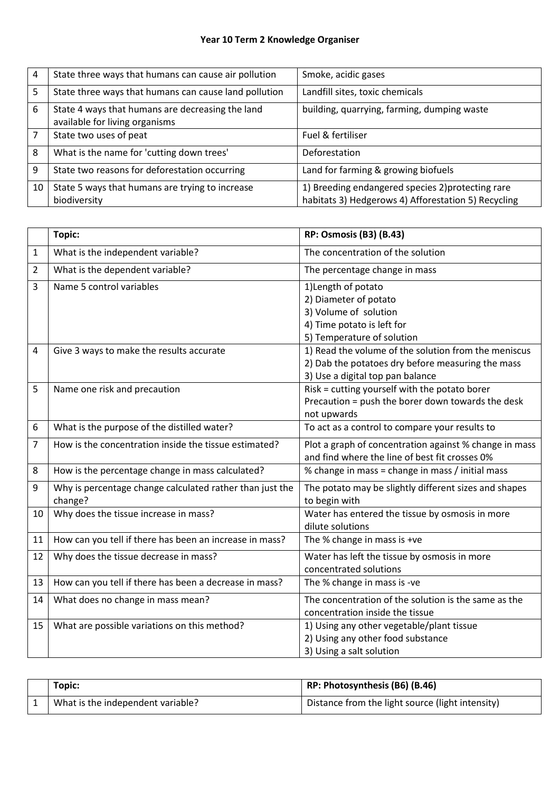## **Year 10 Term 2 Knowledge Organiser**

| 4  | State three ways that humans can cause air pollution                               | Smoke, acidic gases                                                                                      |
|----|------------------------------------------------------------------------------------|----------------------------------------------------------------------------------------------------------|
| 5  | State three ways that humans can cause land pollution                              | Landfill sites, toxic chemicals                                                                          |
| 6  | State 4 ways that humans are decreasing the land<br>available for living organisms | building, quarrying, farming, dumping waste                                                              |
|    | State two uses of peat                                                             | Fuel & fertiliser                                                                                        |
| 8  | What is the name for 'cutting down trees'                                          | Deforestation                                                                                            |
| 9  | State two reasons for deforestation occurring                                      | Land for farming & growing biofuels                                                                      |
| 10 | State 5 ways that humans are trying to increase<br>biodiversity                    | 1) Breeding endangered species 2) protecting rare<br>habitats 3) Hedgerows 4) Afforestation 5) Recycling |

|                | Topic:                                                              | <b>RP: Osmosis (B3) (B.43)</b>                                                                                                                |
|----------------|---------------------------------------------------------------------|-----------------------------------------------------------------------------------------------------------------------------------------------|
| $\mathbf{1}$   | What is the independent variable?                                   | The concentration of the solution                                                                                                             |
| $\overline{2}$ | What is the dependent variable?                                     | The percentage change in mass                                                                                                                 |
| 3              | Name 5 control variables                                            | 1) Length of potato<br>2) Diameter of potato<br>3) Volume of solution<br>4) Time potato is left for<br>5) Temperature of solution             |
| 4              | Give 3 ways to make the results accurate                            | 1) Read the volume of the solution from the meniscus<br>2) Dab the potatoes dry before measuring the mass<br>3) Use a digital top pan balance |
| 5              | Name one risk and precaution                                        | Risk = cutting yourself with the potato borer<br>Precaution = push the borer down towards the desk<br>not upwards                             |
| 6              | What is the purpose of the distilled water?                         | To act as a control to compare your results to                                                                                                |
| $\overline{7}$ | How is the concentration inside the tissue estimated?               | Plot a graph of concentration against % change in mass<br>and find where the line of best fit crosses 0%                                      |
| 8              | How is the percentage change in mass calculated?                    | % change in mass = change in mass / initial mass                                                                                              |
| 9              | Why is percentage change calculated rather than just the<br>change? | The potato may be slightly different sizes and shapes<br>to begin with                                                                        |
| 10             | Why does the tissue increase in mass?                               | Water has entered the tissue by osmosis in more<br>dilute solutions                                                                           |
| 11             | How can you tell if there has been an increase in mass?             | The % change in mass is +ve                                                                                                                   |
| 12             | Why does the tissue decrease in mass?                               | Water has left the tissue by osmosis in more<br>concentrated solutions                                                                        |
| 13             | How can you tell if there has been a decrease in mass?              | The % change in mass is -ve                                                                                                                   |
| 14             | What does no change in mass mean?                                   | The concentration of the solution is the same as the<br>concentration inside the tissue                                                       |
| 15             | What are possible variations on this method?                        | 1) Using any other vegetable/plant tissue<br>2) Using any other food substance<br>3) Using a salt solution                                    |

| Topic:                            | RP: Photosynthesis (B6) (B.46)                   |
|-----------------------------------|--------------------------------------------------|
| What is the independent variable? | Distance from the light source (light intensity) |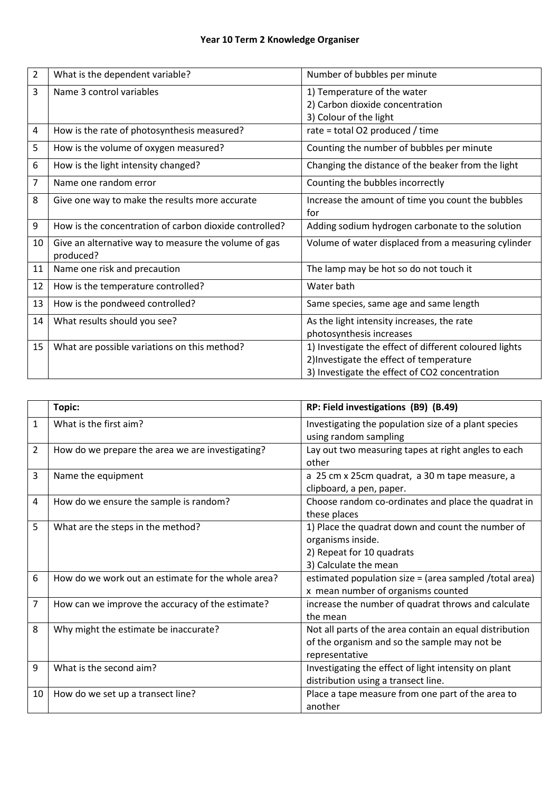| $\overline{2}$ | What is the dependent variable?                                   | Number of bubbles per minute                                                                                                                         |
|----------------|-------------------------------------------------------------------|------------------------------------------------------------------------------------------------------------------------------------------------------|
| 3              | Name 3 control variables                                          | 1) Temperature of the water<br>2) Carbon dioxide concentration<br>3) Colour of the light                                                             |
| 4              | How is the rate of photosynthesis measured?                       | rate = total O2 produced / time                                                                                                                      |
| 5              | How is the volume of oxygen measured?                             | Counting the number of bubbles per minute                                                                                                            |
| 6              | How is the light intensity changed?                               | Changing the distance of the beaker from the light                                                                                                   |
| 7              | Name one random error                                             | Counting the bubbles incorrectly                                                                                                                     |
| 8              | Give one way to make the results more accurate                    | Increase the amount of time you count the bubbles<br>for                                                                                             |
| 9              | How is the concentration of carbon dioxide controlled?            | Adding sodium hydrogen carbonate to the solution                                                                                                     |
| 10             | Give an alternative way to measure the volume of gas<br>produced? | Volume of water displaced from a measuring cylinder                                                                                                  |
| 11             | Name one risk and precaution                                      | The lamp may be hot so do not touch it                                                                                                               |
| 12             | How is the temperature controlled?                                | Water bath                                                                                                                                           |
| 13             | How is the pondweed controlled?                                   | Same species, same age and same length                                                                                                               |
| 14             | What results should you see?                                      | As the light intensity increases, the rate<br>photosynthesis increases                                                                               |
| 15             | What are possible variations on this method?                      | 1) Investigate the effect of different coloured lights<br>2) Investigate the effect of temperature<br>3) Investigate the effect of CO2 concentration |

|                | Topic:                                             | RP: Field investigations (B9) (B.49)                                                                                         |
|----------------|----------------------------------------------------|------------------------------------------------------------------------------------------------------------------------------|
| $\mathbf{1}$   | What is the first aim?                             | Investigating the population size of a plant species<br>using random sampling                                                |
| $\overline{2}$ | How do we prepare the area we are investigating?   | Lay out two measuring tapes at right angles to each<br>other                                                                 |
| 3              | Name the equipment                                 | a 25 cm x 25 cm quadrat, a 30 m tape measure, a<br>clipboard, a pen, paper.                                                  |
| 4              | How do we ensure the sample is random?             | Choose random co-ordinates and place the quadrat in<br>these places                                                          |
| 5              | What are the steps in the method?                  | 1) Place the quadrat down and count the number of<br>organisms inside.<br>2) Repeat for 10 quadrats<br>3) Calculate the mean |
| 6              | How do we work out an estimate for the whole area? | estimated population size = (area sampled /total area)<br>x mean number of organisms counted                                 |
| $\overline{7}$ | How can we improve the accuracy of the estimate?   | increase the number of quadrat throws and calculate<br>the mean                                                              |
| 8              | Why might the estimate be inaccurate?              | Not all parts of the area contain an equal distribution<br>of the organism and so the sample may not be<br>representative    |
| 9              | What is the second aim?                            | Investigating the effect of light intensity on plant<br>distribution using a transect line.                                  |
| 10             | How do we set up a transect line?                  | Place a tape measure from one part of the area to<br>another                                                                 |